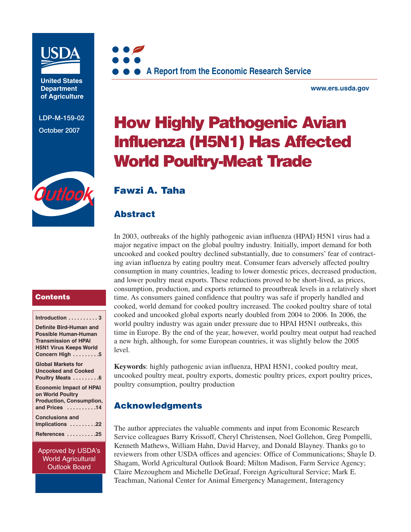

**United States Department of Agriculture** 

**LDP-M-159-02**



**www.ers.usda.gov** 

# **CDP-M-159-02 <b>How Highly Pathogenic Avian Influenza (H5N1) Has Affected World Poultry-Meat Trade**

# Qutloc

# **Fawzi A. Taha**

# **Abstract**

In 2003, outbreaks of the highly pathogenic avian influenza (HPAI) H5N1 virus had a major negative impact on the global poultry industry. Initially, import demand for both uncooked and cooked poultry declined substantially, due to consumers' fear of contracting avian influenza by eating poultry meat. Consumer fears adversely affected poultry consumption in many countries, leading to lower domestic prices, decreased production, and lower poultry meat exports. These reductions proved to be short-lived, as prices, consumption, production, and exports returned to preoutbreak levels in a relatively short time. As consumers gained confidence that poultry was safe if properly handled and cooked, world demand for cooked poultry increased. The cooked poultry share of total cooked and uncooked global exports nearly doubled from 2004 to 2006. In 2006, the world poultry industry was again under pressure due to HPAI H5N1 outbreaks, this time in Europe. By the end of the year, however, world poultry meat output had reached a new high, although, for some European countries, it was slightly below the 2005 level.

**Keywords**: highly pathogenic avian influenza, HPAI H5N1, cooked poultry meat, uncooked poultry meat, poultry exports, domestic poultry prices, export poultry prices, poultry consumption, poultry production

# **Acknowledgments**

The author appreciates the valuable comments and input from Economic Research Service colleagues Barry Krissoff, Cheryl Christensen, Noel Gollehon, Greg Pompelli, Kenneth Mathews, William Hahn, David Harvey, and Donald Blayney. Thanks go to reviewers from other USDA offices and agencies: Office of Communications; Shayle D. Shagam, World Agricultural Outlook Board; Milton Madison, Farm Service Agency; Claire Mezoughem and Michelle DeGraaf, Foreign Agricultural Service; Mark E. Teachman, National Center for Animal Emergency Management, Interagency

### **Contents**

| Introduction $\ldots \ldots \ldots$ |  |
|-------------------------------------|--|
| Definite Bird-Human and             |  |
| <b>Possible Human-Human</b>         |  |
|                                     |  |

**Transmission of HPAI H5N1 Virus Keeps World Concern High . . . . . . . . .5** 

```
Global Markets for
Uncooked and Cooked
Poultry Meats . . . . . . . . .6 
Economic Impact of HPAI
on World Poultry
```

```
Production, Consumption,
and Prices . . . . . . . . . .14
Conclusions and
Implications . . . . . . . . .22
```
**References . . . . . . . . . .25**

Approved by USDA's World Agricultural Outlook Board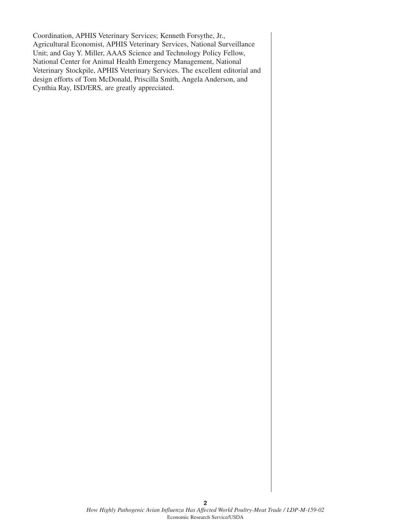Coordination, APHIS Veterinary Services; Kenneth Forsythe, Jr., Agricultural Economist, APHIS Veterinary Services, National Surveillance Unit; and Gay Y. Miller, AAAS Science and Technology Policy Fellow, National Center for Animal Health Emergency Management, National Veterinary Stockpile, APHIS Veterinary Services. The excellent editorial and design efforts of Tom McDonald, Priscilla Smith, Angela Anderson, and Cynthia Ray, ISD/ERS, are greatly appreciated.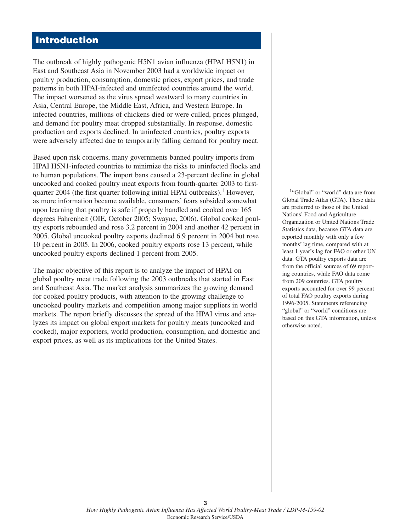# **Introduction**

The outbreak of highly pathogenic H5N1 avian influenza (HPAI H5N1) in East and Southeast Asia in November 2003 had a worldwide impact on poultry production, consumption, domestic prices, export prices, and trade patterns in both HPAI-infected and uninfected countries around the world. The impact worsened as the virus spread westward to many countries in Asia, Central Europe, the Middle East, Africa, and Western Europe. In infected countries, millions of chickens died or were culled, prices plunged, and demand for poultry meat dropped substantially. In response, domestic production and exports declined. In uninfected countries, poultry exports were adversely affected due to temporarily falling demand for poultry meat.

Based upon risk concerns, many governments banned poultry imports from HPAI H5N1-infected countries to minimize the risks to uninfected flocks and to human populations. The import bans caused a 23-percent decline in global uncooked and cooked poultry meat exports from fourth-quarter 2003 to firstquarter 2004 (the first quarter following initial HPAI outbreaks).<sup>1</sup> However, as more information became available, consumers' fears subsided somewhat upon learning that poultry is safe if properly handled and cooked over 165 degrees Fahrenheit (OIE, October 2005; Swayne, 2006). Global cooked poultry exports rebounded and rose 3.2 percent in 2004 and another 42 percent in 2005. Global uncooked poultry exports declined 6.9 percent in 2004 but rose 10 percent in 2005. In 2006, cooked poultry exports rose 13 percent, while uncooked poultry exports declined 1 percent from 2005.

The major objective of this report is to analyze the impact of HPAI on global poultry meat trade following the 2003 outbreaks that started in East and Southeast Asia. The market analysis summarizes the growing demand for cooked poultry products, with attention to the growing challenge to uncooked poultry markets and competition among major suppliers in world markets. The report briefly discusses the spread of the HPAI virus and analyzes its impact on global export markets for poultry meats (uncooked and cooked), major exporters, world production, consumption, and domestic and export prices, as well as its implications for the United States.

1"Global" or "world" data are from Global Trade Atlas (GTA). These data are preferred to those of the United Nations' Food and Agriculture Organization or United Nations Trade Statistics data, because GTA data are reported monthly with only a few months' lag time, compared with at least 1 year's lag for FAO or other UN data. GTA poultry exports data are from the official sources of 69 reporting countries, while FAO data come from 209 countries. GTA poultry exports accounted for over 99 percent of total FAO poultry exports during 1996-2005. Statements referencing "global" or "world" conditions are based on this GTA information, unless otherwise noted.

**3**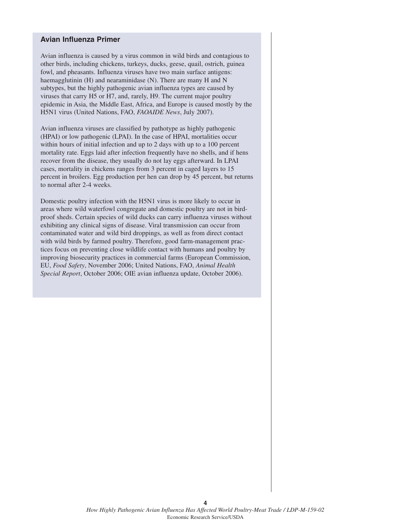### **Avian Influenza Primer**

Avian influenza is caused by a virus common in wild birds and contagious to other birds, including chickens, turkeys, ducks, geese, quail, ostrich, guinea fowl, and pheasants. Influenza viruses have two main surface antigens: haemagglutinin (H) and nearaminidase (N). There are many H and N subtypes, but the highly pathogenic avian influenza types are caused by viruses that carry H5 or H7, and, rarely, H9. The current major poultry epidemic in Asia, the Middle East, Africa, and Europe is caused mostly by the H5N1 virus (United Nations, FAO, *FAOAIDE News*, July 2007).

Avian influenza viruses are classified by pathotype as highly pathogenic (HPAI) or low pathogenic (LPAI). In the case of HPAI, mortalities occur within hours of initial infection and up to 2 days with up to a 100 percent mortality rate. Eggs laid after infection frequently have no shells, and if hens recover from the disease, they usually do not lay eggs afterward. In LPAI cases, mortality in chickens ranges from 3 percent in caged layers to 15 percent in broilers. Egg production per hen can drop by 45 percent, but returns to normal after 2-4 weeks.

Domestic poultry infection with the H5N1 virus is more likely to occur in areas where wild waterfowl congregate and domestic poultry are not in birdproof sheds. Certain species of wild ducks can carry influenza viruses without exhibiting any clinical signs of disease. Viral transmission can occur from contaminated water and wild bird droppings, as well as from direct contact with wild birds by farmed poultry. Therefore, good farm-management practices focus on preventing close wildlife contact with humans and poultry by improving biosecurity practices in commercial farms (European Commission, EU, *Food Safety*, November 2006; United Nations, FAO, *Animal Health Special Report*, October 2006; OIE avian influenza update, October 2006).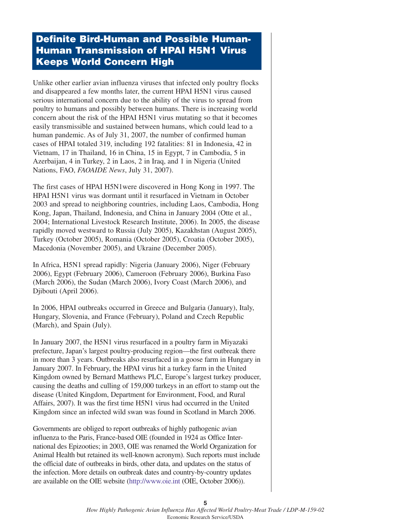# **Definite Bird-Human and Possible Human-Human Transmission of HPAI H5N1 Virus Keeps World Concern High**

Unlike other earlier avian influenza viruses that infected only poultry flocks and disappeared a few months later, the current HPAI H5N1 virus caused serious international concern due to the ability of the virus to spread from poultry to humans and possibly between humans. There is increasing world concern about the risk of the HPAI H5N1 virus mutating so that it becomes easily transmissible and sustained between humans, which could lead to a human pandemic. As of July 31, 2007, the number of confirmed human cases of HPAI totaled 319, including 192 fatalities: 81 in Indonesia, 42 in Vietnam, 17 in Thailand, 16 in China, 15 in Egypt, 7 in Cambodia, 5 in Azerbaijan, 4 in Turkey, 2 in Laos, 2 in Iraq, and 1 in Nigeria (United Nations, FAO, *FAOAIDE News*, July 31, 2007).

The first cases of HPAI H5N1were discovered in Hong Kong in 1997. The HPAI H5N1 virus was dormant until it resurfaced in Vietnam in October 2003 and spread to neighboring countries, including Laos, Cambodia, Hong Kong, Japan, Thailand, Indonesia, and China in January 2004 (Otte et al., 2004; International Livestock Research Institute, 2006). In 2005, the disease rapidly moved westward to Russia (July 2005), Kazakhstan (August 2005), Turkey (October 2005), Romania (October 2005), Croatia (October 2005), Macedonia (November 2005), and Ukraine (December 2005).

In Africa, H5N1 spread rapidly: Nigeria (January 2006), Niger (February 2006), Egypt (February 2006), Cameroon (February 2006), Burkina Faso (March 2006), the Sudan (March 2006), Ivory Coast (March 2006), and Djibouti (April 2006).

In 2006, HPAI outbreaks occurred in Greece and Bulgaria (January), Italy, Hungary, Slovenia, and France (February), Poland and Czech Republic (March), and Spain (July).

In January 2007, the H5N1 virus resurfaced in a poultry farm in Miyazaki prefecture, Japan's largest poultry-producing region—the first outbreak there in more than 3 years. Outbreaks also resurfaced in a goose farm in Hungary in January 2007. In February, the HPAI virus hit a turkey farm in the United Kingdom owned by Bernard Matthews PLC, Europe's largest turkey producer, causing the deaths and culling of 159,000 turkeys in an effort to stamp out the disease (United Kingdom, Department for Environment, Food, and Rural Affairs, 2007). It was the first time H5N1 virus had occurred in the United Kingdom since an infected wild swan was found in Scotland in March 2006.

Governments are obliged to report outbreaks of highly pathogenic avian influenza to the Paris, France-based OIE (founded in 1924 as Office International des Epizooties; in 2003, OIE was renamed the World Organization for Animal Health but retained its well-known acronym). Such reports must include the official date of outbreaks in birds, other data, and updates on the status of the infection. More details on outbreak dates and country-by-country updates are available on the OIE website (http://www.oie.int (OIE, October 2006)).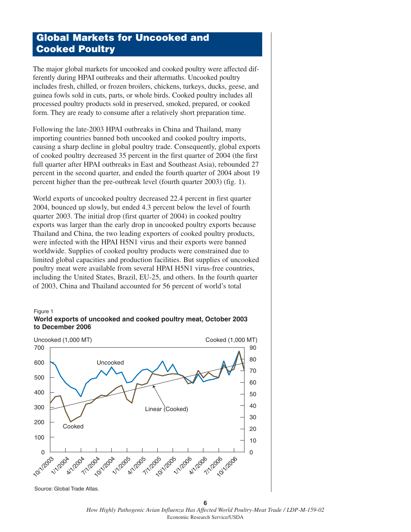# **Global Markets for Uncooked and Cooked Poultry**

The major global markets for uncooked and cooked poultry were affected differently during HPAI outbreaks and their aftermaths. Uncooked poultry includes fresh, chilled, or frozen broilers, chickens, turkeys, ducks, geese, and guinea fowls sold in cuts, parts, or whole birds. Cooked poultry includes all processed poultry products sold in preserved, smoked, prepared, or cooked form. They are ready to consume after a relatively short preparation time.

Following the late-2003 HPAI outbreaks in China and Thailand, many importing countries banned both uncooked and cooked poultry imports, causing a sharp decline in global poultry trade. Consequently, global exports of cooked poultry decreased 35 percent in the first quarter of 2004 (the first full quarter after HPAI outbreaks in East and Southeast Asia), rebounded 27 percent in the second quarter, and ended the fourth quarter of 2004 about 19 percent higher than the pre-outbreak level (fourth quarter 2003) (fig. 1).

World exports of uncooked poultry decreased 22.4 percent in first quarter 2004, bounced up slowly, but ended 4.3 percent below the level of fourth quarter 2003. The initial drop (first quarter of 2004) in cooked poultry exports was larger than the early drop in uncooked poultry exports because Thailand and China, the two leading exporters of cooked poultry products, were infected with the HPAI H5N1 virus and their exports were banned worldwide. Supplies of cooked poultry products were constrained due to limited global capacities and production facilities. But supplies of uncooked poultry meat were available from several HPAI H5N1 virus-free countries, including the United States, Brazil, EU-25, and others. In the fourth quarter of 2003, China and Thailand accounted for 56 percent of world's total

### Figure 1





Source: Global Trade Atlas.

**6** *How Highly Pathogenic Avian Influenza Has Affected World Poultry-Meat Trade / LDP-M-159-02* Economic Research Service/USDA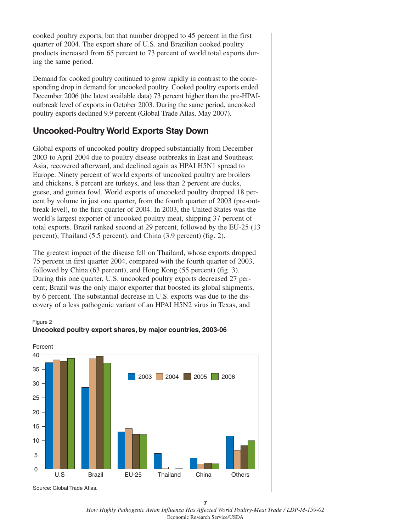cooked poultry exports, but that number dropped to 45 percent in the first quarter of 2004. The export share of U.S. and Brazilian cooked poultry products increased from 65 percent to 73 percent of world total exports during the same period.

Demand for cooked poultry continued to grow rapidly in contrast to the corresponding drop in demand for uncooked poultry. Cooked poultry exports ended December 2006 (the latest available data) 73 percent higher than the pre-HPAIoutbreak level of exports in October 2003. During the same period, uncooked poultry exports declined 9.9 percent (Global Trade Atlas, May 2007).

# **Uncooked-Poultry World Exports Stay Down**

Global exports of uncooked poultry dropped substantially from December 2003 to April 2004 due to poultry disease outbreaks in East and Southeast Asia, recovered afterward, and declined again as HPAI H5N1 spread to Europe. Ninety percent of world exports of uncooked poultry are broilers and chickens, 8 percent are turkeys, and less than 2 percent are ducks, geese, and guinea fowl. World exports of uncooked poultry dropped 18 percent by volume in just one quarter, from the fourth quarter of 2003 (pre-outbreak level), to the first quarter of 2004. In 2003, the United States was the world's largest exporter of uncooked poultry meat, shipping 37 percent of total exports. Brazil ranked second at 29 percent, followed by the EU-25 (13 percent), Thailand (5.5 percent), and China (3.9 percent) (fig. 2).

The greatest impact of the disease fell on Thailand, whose exports dropped 75 percent in first quarter 2004, compared with the fourth quarter of 2003, followed by China (63 percent), and Hong Kong (55 percent) (fig. 3). During this one quarter, U.S. uncooked poultry exports decreased 27 percent; Brazil was the only major exporter that boosted its global shipments, by 6 percent. The substantial decrease in U.S. exports was due to the discovery of a less pathogenic variant of an HPAI H5N2 virus in Texas, and





**7** *How Highly Pathogenic Avian Influenza Has Affected World Poultry-Meat Trade / LDP-M-159-02* Economic Research Service/USDA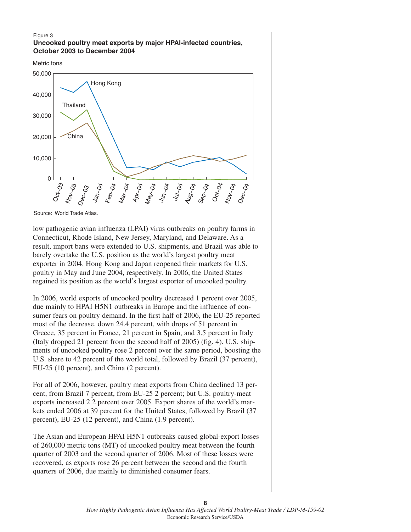### Figure 3 **Uncooked poultry meat exports by major HPAI-infected countries, October 2003 to December 2004**

Metric tons



Source: World Trade Atlas.

low pathogenic avian influenza (LPAI) virus outbreaks on poultry farms in Connecticut, Rhode Island, New Jersey, Maryland, and Delaware. As a result, import bans were extended to U.S. shipments, and Brazil was able to barely overtake the U.S. position as the world's largest poultry meat exporter in 2004. Hong Kong and Japan reopened their markets for U.S. poultry in May and June 2004, respectively. In 2006, the United States regained its position as the world's largest exporter of uncooked poultry.

In 2006, world exports of uncooked poultry decreased 1 percent over 2005, due mainly to HPAI H5N1 outbreaks in Europe and the influence of consumer fears on poultry demand. In the first half of 2006, the EU-25 reported most of the decrease, down 24.4 percent, with drops of 51 percent in Greece, 35 percent in France, 21 percent in Spain, and 3.5 percent in Italy (Italy dropped 21 percent from the second half of 2005) (fig. 4). U.S. shipments of uncooked poultry rose 2 percent over the same period, boosting the U.S. share to 42 percent of the world total, followed by Brazil (37 percent), EU-25 (10 percent), and China (2 percent).

For all of 2006, however, poultry meat exports from China declined 13 percent, from Brazil 7 percent, from EU-25 2 percent; but U.S. poultry-meat exports increased 2.2 percent over 2005. Export shares of the world's markets ended 2006 at 39 percent for the United States, followed by Brazil (37 percent), EU-25 (12 percent), and China (1.9 percent).

The Asian and European HPAI H5N1 outbreaks caused global-export losses of 260,000 metric tons (MT) of uncooked poultry meat between the fourth quarter of 2003 and the second quarter of 2006. Most of these losses were recovered, as exports rose 26 percent between the second and the fourth quarters of 2006, due mainly to diminished consumer fears.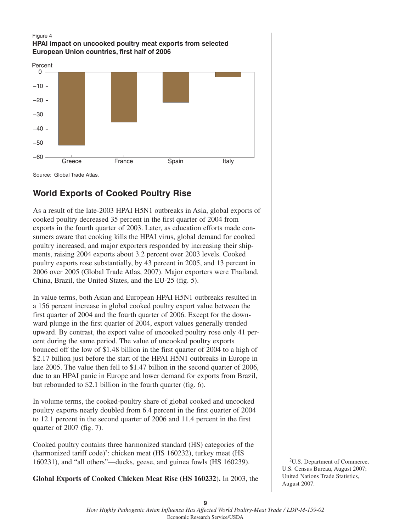### Figure 4 **HPAI impact on uncooked poultry meat exports from selected European Union countries, first half of 2006**





# **World Exports of Cooked Poultry Rise**

As a result of the late-2003 HPAI H5N1 outbreaks in Asia, global exports of cooked poultry decreased 35 percent in the first quarter of 2004 from exports in the fourth quarter of 2003. Later, as education efforts made consumers aware that cooking kills the HPAI virus, global demand for cooked poultry increased, and major exporters responded by increasing their shipments, raising 2004 exports about 3.2 percent over 2003 levels. Cooked poultry exports rose substantially, by 43 percent in 2005, and 13 percent in 2006 over 2005 (Global Trade Atlas, 2007). Major exporters were Thailand, China, Brazil, the United States, and the EU-25 (fig. 5).

In value terms, both Asian and European HPAI H5N1 outbreaks resulted in a 156 percent increase in global cooked poultry export value between the first quarter of 2004 and the fourth quarter of 2006. Except for the downward plunge in the first quarter of 2004, export values generally trended upward. By contrast, the export value of uncooked poultry rose only 41 percent during the same period. The value of uncooked poultry exports bounced off the low of \$1.48 billion in the first quarter of 2004 to a high of \$2.17 billion just before the start of the HPAI H5N1 outbreaks in Europe in late 2005. The value then fell to \$1.47 billion in the second quarter of 2006, due to an HPAI panic in Europe and lower demand for exports from Brazil, but rebounded to \$2.1 billion in the fourth quarter (fig. 6).

In volume terms, the cooked-poultry share of global cooked and uncooked poultry exports nearly doubled from 6.4 percent in the first quarter of 2004 to 12.1 percent in the second quarter of 2006 and 11.4 percent in the first quarter of 2007 (fig. 7).

Cooked poultry contains three harmonized standard (HS) categories of the (harmonized tariff code)<sup>2</sup>: chicken meat (HS 160232), turkey meat (HS 160231), and "all others"—ducks, geese, and guinea fowls (HS 160239).

**Global Exports of Cooked Chicken Meat Rise (HS 160232**)**.** In 2003, the

2U.S. Department of Commerce, U.S. Census Bureau, August 2007; United Nations Trade Statistics, August 2007.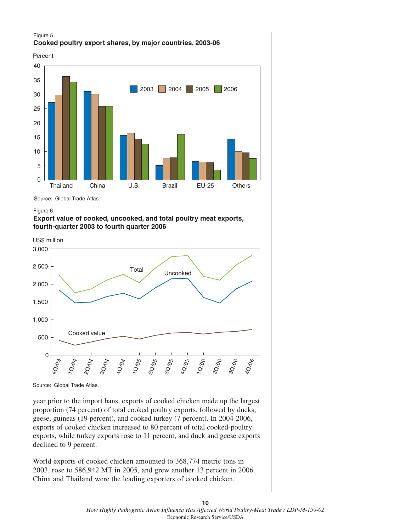### Figure 5 **Cooked poultry export shares, by major countries, 2003-06**



Source: Global Trade Atlas.

### Figure 6





Source: Global Trade Atlas.

year prior to the import bans, exports of cooked chicken made up the largest proportion (74 percent) of total cooked poultry exports, followed by ducks, geese, guineas (19 percent), and cooked turkey (7 percent). In 2004-2006, exports of cooked chicken increased to 80 percent of total cooked-poultry exports, while turkey exports rose to 11 percent, and duck and geese exports declined to 9 percent.

World exports of cooked chicken amounted to 368,774 metric tons in 2003, rose to 586,942 MT in 2005, and grew another 13 percent in 2006. China and Thailand were the leading exporters of cooked chicken,

### **10** *How Highly Pathogenic Avian Influenza Has Affected World Poultry-Meat Trade / LDP-M-159-02* Economic Research Service/USDA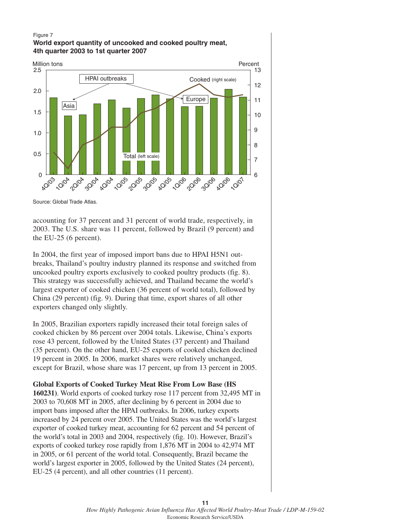### Figure 7 **World export quantity of uncooked and cooked poultry meat, 4th quarter 2003 to 1st quarter 2007**



Source: Global Trade Atlas.

accounting for 37 percent and 31 percent of world trade, respectively, in 2003. The U.S. share was 11 percent, followed by Brazil (9 percent) and the EU-25 (6 percent).

In 2004, the first year of imposed import bans due to HPAI H5N1 outbreaks, Thailand's poultry industry planned its response and switched from uncooked poultry exports exclusively to cooked poultry products (fig. 8). This strategy was successfully achieved, and Thailand became the world's largest exporter of cooked chicken (36 percent of world total), followed by China (29 percent) (fig. 9). During that time, export shares of all other exporters changed only slightly.

In 2005, Brazilian exporters rapidly increased their total foreign sales of cooked chicken by 86 percent over 2004 totals. Likewise, China's exports rose 43 percent, followed by the United States (37 percent) and Thailand (35 percent). On the other hand, EU-25 exports of cooked chicken declined 19 percent in 2005. In 2006, market shares were relatively unchanged, except for Brazil, whose share was 17 percent, up from 13 percent in 2005.

**Global Exports of Cooked Turkey Meat Rise From Low Base (HS**

**160231)**. World exports of cooked turkey rose 117 percent from 32,495 MT in 2003 to 70,608 MT in 2005, after declining by 6 percent in 2004 due to import bans imposed after the HPAI outbreaks. In 2006, turkey exports increased by 24 percent over 2005. The United States was the world's largest exporter of cooked turkey meat, accounting for 62 percent and 54 percent of the world's total in 2003 and 2004, respectively (fig. 10). However, Brazil's exports of cooked turkey rose rapidly from 1,876 MT in 2004 to 42,974 MT in 2005, or 61 percent of the world total. Consequently, Brazil became the world's largest exporter in 2005, followed by the United States (24 percent), EU-25 (4 percent), and all other countries (11 percent).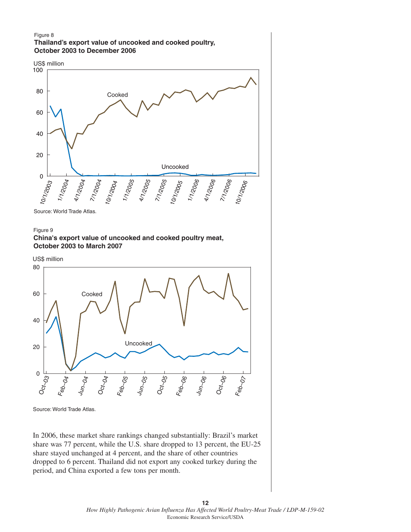### Figure 8 **Thailand's export value of uncooked and cooked poultry, October 2003 to December 2006**



Source: World Trade Atlas.

In 2006, these market share rankings changed substantially: Brazil's market share was 77 percent, while the U.S. share dropped to 13 percent, the EU-25 share stayed unchanged at 4 percent, and the share of other countries dropped to 6 percent. Thailand did not export any cooked turkey during the period, and China exported a few tons per month.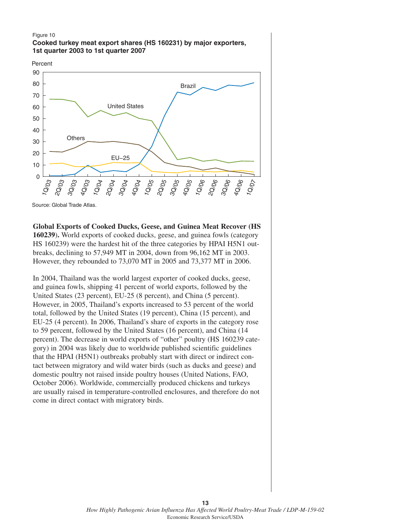### Figure 10 **Cooked turkey meat export shares (HS 160231) by major exporters, 1st quarter 2003 to 1st quarter 2007**





Source: Global Trade Atlas.

**Global Exports of Cooked Ducks, Geese, and Guinea Meat Recover (HS 160239**)**.** World exports of cooked ducks, geese, and guinea fowls (category HS 160239) were the hardest hit of the three categories by HPAI H5N1 outbreaks, declining to 57,949 MT in 2004, down from 96,162 MT in 2003. However, they rebounded to 73,070 MT in 2005 and 73,377 MT in 2006.

In 2004, Thailand was the world largest exporter of cooked ducks, geese, and guinea fowls, shipping 41 percent of world exports, followed by the United States (23 percent), EU-25 (8 percent), and China (5 percent). However, in 2005, Thailand's exports increased to 53 percent of the world total, followed by the United States (19 percent), China (15 percent), and EU-25 (4 percent). In 2006, Thailand's share of exports in the category rose to 59 percent, followed by the United States (16 percent), and China (14 percent). The decrease in world exports of "other" poultry (HS 160239 category) in 2004 was likely due to worldwide published scientific guidelines that the HPAI (H5N1) outbreaks probably start with direct or indirect contact between migratory and wild water birds (such as ducks and geese) and domestic poultry not raised inside poultry houses (United Nations, FAO, October 2006). Worldwide, commercially produced chickens and turkeys are usually raised in temperature-controlled enclosures, and therefore do not come in direct contact with migratory birds.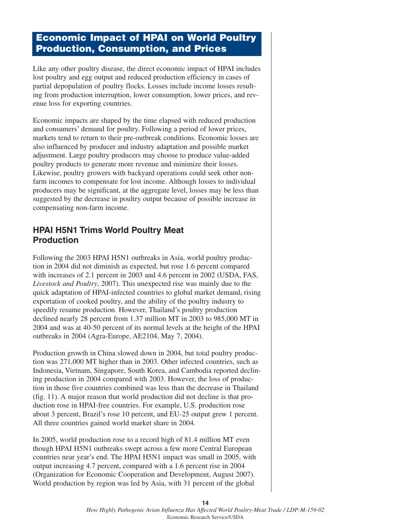# **Economic Impact of HPAI on World Poultry Production, Consumption, and Prices**

Like any other poultry disease, the direct economic impact of HPAI includes lost poultry and egg output and reduced production efficiency in cases of partial depopulation of poultry flocks. Losses include income losses resulting from production interruption, lower consumption, lower prices, and revenue loss for exporting countries.

Economic impacts are shaped by the time elapsed with reduced production and consumers' demand for poultry. Following a period of lower prices, markets tend to return to their pre-outbreak conditions. Economic losses are also influenced by producer and industry adaptation and possible market adjustment. Large poultry producers may choose to produce value-added poultry products to generate more revenue and minimize their losses. Likewise, poultry growers with backyard operations could seek other nonfarm incomes to compensate for lost income. Although losses to individual producers may be significant, at the aggregate level, losses may be less than suggested by the decrease in poultry output because of possible increase in compensating non-farm income.

# **HPAI H5N1 Trims World Poultry Meat Production**

Following the 2003 HPAI H5N1 outbreaks in Asia, world poultry production in 2004 did not diminish as expected, but rose 1.6 percent compared with increases of 2.1 percent in 2003 and 4.6 percent in 2002 (USDA, FAS, *Livestock and Poultry*, 2007). This unexpected rise was mainly due to the quick adaptation of HPAI-infected countries to global market demand, rising exportation of cooked poultry, and the ability of the poultry industry to speedily resume production. However, Thailand's poultry production declined nearly 28 percent from 1.37 million MT in 2003 to 985,000 MT in 2004 and was at 40-50 percent of its normal levels at the height of the HPAI outbreaks in 2004 (Agra-Europe, AE2104, May 7, 2004).

Production growth in China slowed down in 2004, but total poultry production was 271,000 MT higher than in 2003. Other infected countries, such as Indonesia, Vietnam, Singapore, South Korea, and Cambodia reported declining production in 2004 compared with 2003. However, the loss of production in those five countries combined was less than the decrease in Thailand (fig. 11). A major reason that world production did not decline is that production rose in HPAI-free countries. For example, U.S. production rose about 3 percent, Brazil's rose 10 percent, and EU-25 output grew 1 percent. All three countries gained world market share in 2004.

In 2005, world production rose to a record high of 81.4 million MT even though HPAI H5N1 outbreaks swept across a few more Central European countries near year's end. The HPAI H5N1 impact was small in 2005, with output increasing 4.7 percent, compared with a 1.6 percent rise in 2004 (Organization for Economic Cooperation and Development, August 2007). World production by region was led by Asia, with 31 percent of the global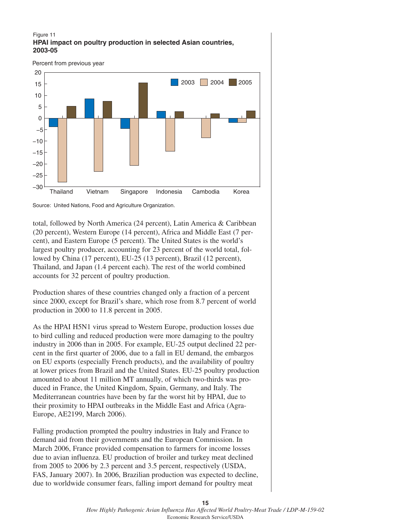### Figure 11 **HPAI impact on poultry production in selected Asian countries, 2003-05**



Source: United Nations, Food and Agriculture Organization.

total, followed by North America (24 percent), Latin America & Caribbean (20 percent), Western Europe (14 percent), Africa and Middle East (7 percent), and Eastern Europe (5 percent). The United States is the world's largest poultry producer, accounting for 23 percent of the world total, followed by China (17 percent), EU-25 (13 percent), Brazil (12 percent), Thailand, and Japan (1.4 percent each). The rest of the world combined accounts for 32 percent of poultry production.

Production shares of these countries changed only a fraction of a percent since 2000, except for Brazil's share, which rose from 8.7 percent of world production in 2000 to 11.8 percent in 2005.

As the HPAI H5N1 virus spread to Western Europe, production losses due to bird culling and reduced production were more damaging to the poultry industry in 2006 than in 2005. For example, EU-25 output declined 22 percent in the first quarter of 2006, due to a fall in EU demand, the embargos on EU exports (especially French products), and the availability of poultry at lower prices from Brazil and the United States. EU-25 poultry production amounted to about 11 million MT annually, of which two-thirds was produced in France, the United Kingdom, Spain, Germany, and Italy. The Mediterranean countries have been by far the worst hit by HPAI, due to their proximity to HPAI outbreaks in the Middle East and Africa (Agra-Europe, AE2199, March 2006).

Falling production prompted the poultry industries in Italy and France to demand aid from their governments and the European Commission. In March 2006, France provided compensation to farmers for income losses due to avian influenza. EU production of broiler and turkey meat declined from 2005 to 2006 by 2.3 percent and 3.5 percent, respectively (USDA, FAS, January 2007). In 2006, Brazilian production was expected to decline, due to worldwide consumer fears, falling import demand for poultry meat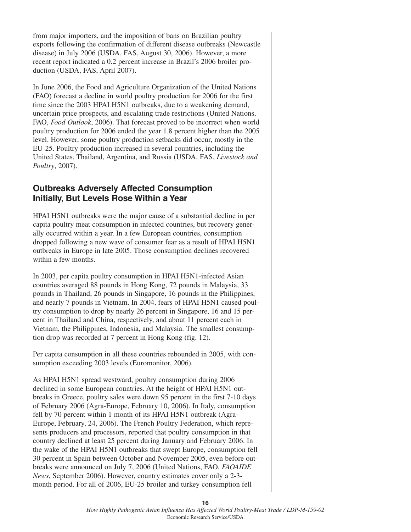from major importers, and the imposition of bans on Brazilian poultry exports following the confirmation of different disease outbreaks (Newcastle disease) in July 2006 (USDA, FAS, August 30, 2006). However, a more recent report indicated a 0.2 percent increase in Brazil's 2006 broiler production (USDA, FAS, April 2007).

In June 2006, the Food and Agriculture Organization of the United Nations (FAO) forecast a decline in world poultry production for 2006 for the first time since the 2003 HPAI H5N1 outbreaks, due to a weakening demand, uncertain price prospects, and escalating trade restrictions (United Nations, FAO, *Food Outlook*, 2006). That forecast proved to be incorrect when world poultry production for 2006 ended the year 1.8 percent higher than the 2005 level. However, some poultry production setbacks did occur, mostly in the EU-25. Poultry production increased in several countries, including the United States, Thailand, Argentina, and Russia (USDA, FAS, *Livestock and Poultry*, 2007).

## **Outbreaks Adversely Affected Consumption Initially, But Levels Rose Within a Year**

HPAI H5N1 outbreaks were the major cause of a substantial decline in per capita poultry meat consumption in infected countries, but recovery generally occurred within a year. In a few European countries, consumption dropped following a new wave of consumer fear as a result of HPAI H5N1 outbreaks in Europe in late 2005. Those consumption declines recovered within a few months.

In 2003, per capita poultry consumption in HPAI H5N1-infected Asian countries averaged 88 pounds in Hong Kong, 72 pounds in Malaysia, 33 pounds in Thailand, 26 pounds in Singapore, 16 pounds in the Philippines, and nearly 7 pounds in Vietnam. In 2004, fears of HPAI H5N1 caused poultry consumption to drop by nearly 26 percent in Singapore, 16 and 15 percent in Thailand and China, respectively, and about 11 percent each in Vietnam, the Philippines, Indonesia, and Malaysia. The smallest consumption drop was recorded at 7 percent in Hong Kong (fig. 12).

Per capita consumption in all these countries rebounded in 2005, with consumption exceeding 2003 levels (Euromonitor, 2006).

As HPAI H5N1 spread westward, poultry consumption during 2006 declined in some European countries. At the height of HPAI H5N1 outbreaks in Greece, poultry sales were down 95 percent in the first 7-10 days of February 2006 (Agra-Europe, February 10, 2006). In Italy, consumption fell by 70 percent within 1 month of its HPAI H5N1 outbreak (Agra-Europe, February, 24, 2006). The French Poultry Federation, which represents producers and processors, reported that poultry consumption in that country declined at least 25 percent during January and February 2006. In the wake of the HPAI H5N1 outbreaks that swept Europe, consumption fell 30 percent in Spain between October and November 2005, even before outbreaks were announced on July 7, 2006 (United Nations, FAO, *FAOAIDE News*, September 2006). However, country estimates cover only a 2-3 month period. For all of 2006, EU-25 broiler and turkey consumption fell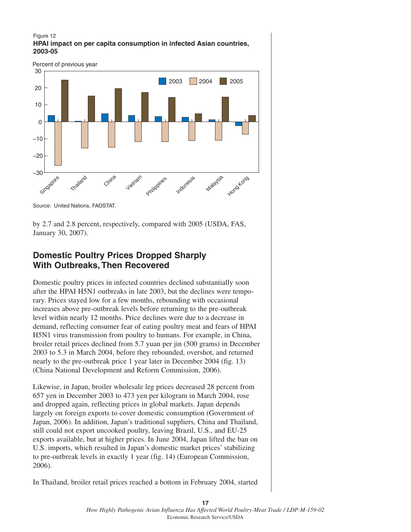### Figure 12 **HPAI impact on per capita consumption in infected Asian countries, 2003-05**



Source: United Nations, FAOSTAT.

by 2.7 and 2.8 percent, respectively, compared with 2005 (USDA, FAS, January 30, 2007).

# **Domestic Poultry Prices Dropped Sharply With Outbreaks, Then Recovered**

Domestic poultry prices in infected countries declined substantially soon after the HPAI H5N1 outbreaks in late 2003, but the declines were temporary. Prices stayed low for a few months, rebounding with occasional increases above pre-outbreak levels before returning to the pre-outbreak level within nearly 12 months. Price declines were due to a decrease in demand, reflecting consumer fear of eating poultry meat and fears of HPAI H5N1 virus transmission from poultry to humans. For example, in China, broiler retail prices declined from 5.7 yuan per jin (500 grams) in December 2003 to 5.3 in March 2004, before they rebounded, overshot, and returned nearly to the pre-outbreak price 1 year later in December 2004 (fig. 13) (China National Development and Reform Commission, 2006).

Likewise, in Japan, broiler wholesale leg prices decreased 28 percent from 657 yen in December 2003 to 473 yen per kilogram in March 2004, rose and dropped again, reflecting prices in global markets. Japan depends largely on foreign exports to cover domestic consumption (Government of Japan, 2006). In addition, Japan's traditional suppliers, China and Thailand, still could not export uncooked poultry, leaving Brazil, U.S., and EU-25 exports available, but at higher prices. In June 2004, Japan lifted the ban on U.S. imports, which resulted in Japan's domestic market prices' stabilizing to pre-outbreak levels in exactly 1 year (fig. 14) (European Commission, 2006).

In Thailand, broiler retail prices reached a bottom in February 2004, started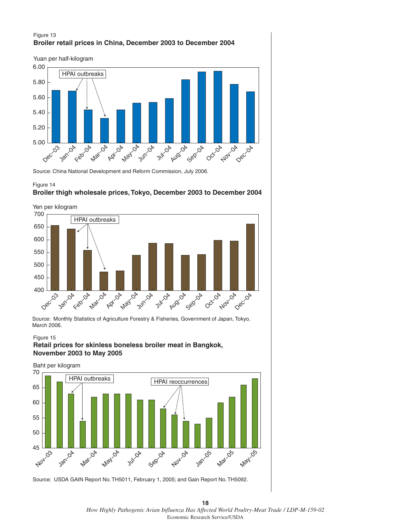### Figure 13 **Broiler retail prices in China, December 2003 to December 2004**



Source: China National Development and Reform Commission, July 2006.



### **Broiler thigh wholesale prices, Tokyo, December 2003 to December 2004**



Source: Monthly Statistics of Agriculture Forestry & Fisheries, Government of Japan, Tokyo, March 2006.

Figure 15

### **Retail prices for skinless boneless broiler meat in Bangkok, November 2003 to May 2005**



Source: USDA GAIN Report No. TH5011, February 1, 2005; and Gain Report No. TH5092.

**18** *How Highly Pathogenic Avian Influenza Has Affected World Poultry-Meat Trade / LDP-M-159-02* Economic Research Service/USDA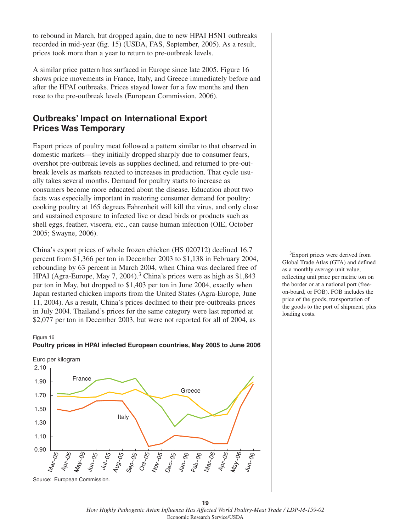to rebound in March, but dropped again, due to new HPAI H5N1 outbreaks recorded in mid-year (fig. 15) (USDA, FAS, September, 2005). As a result, prices took more than a year to return to pre-outbreak levels.

A similar price pattern has surfaced in Europe since late 2005. Figure 16 shows price movements in France, Italy, and Greece immediately before and after the HPAI outbreaks. Prices stayed lower for a few months and then rose to the pre-outbreak levels (European Commission, 2006).

# **Outbreaks' Impact on International Export Prices Was Temporary**

Export prices of poultry meat followed a pattern similar to that observed in domestic markets—they initially dropped sharply due to consumer fears, overshot pre-outbreak levels as supplies declined, and returned to pre-outbreak levels as markets reacted to increases in production. That cycle usually takes several months. Demand for poultry starts to increase as consumers become more educated about the disease. Education about two facts was especially important in restoring consumer demand for poultry: cooking poultry at 165 degrees Fahrenheit will kill the virus, and only close and sustained exposure to infected live or dead birds or products such as shell eggs, feather, viscera, etc., can cause human infection (OIE, October 2005; Swayne, 2006).

China's export prices of whole frozen chicken (HS 020712) declined 16.7 percent from \$1,366 per ton in December 2003 to \$1,138 in February 2004, rebounding by 63 percent in March 2004, when China was declared free of HPAI (Agra-Europe, May 7, 2004).<sup>3</sup> China's prices were as high as \$1,843 per ton in May, but dropped to \$1,403 per ton in June 2004, exactly when Japan restarted chicken imports from the United States (Agra-Europe, June 11, 2004). As a result, China's prices declined to their pre-outbreaks prices in July 2004. Thailand's prices for the same category were last reported at \$2,077 per ton in December 2003, but were not reported for all of 2004, as

### Figure 16





<sup>3</sup>Export prices were derived from Global Trade Atlas (GTA) and defined as a monthly average unit value, reflecting unit price per metric ton on the border or at a national port (freeon-board, or FOB). FOB includes the price of the goods, transportation of the goods to the port of shipment, plus loading costs.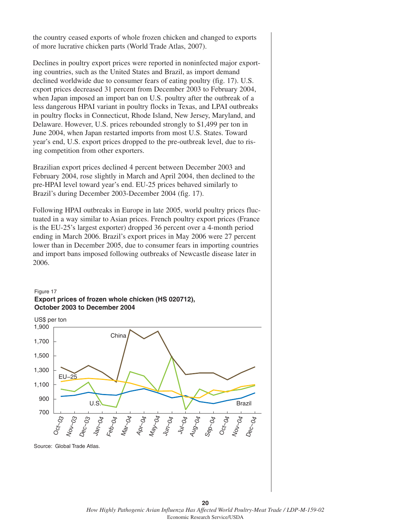the country ceased exports of whole frozen chicken and changed to exports of more lucrative chicken parts (World Trade Atlas, 2007).

Declines in poultry export prices were reported in noninfected major exporting countries, such as the United States and Brazil, as import demand declined worldwide due to consumer fears of eating poultry (fig. 17). U.S. export prices decreased 31 percent from December 2003 to February 2004, when Japan imposed an import ban on U.S. poultry after the outbreak of a less dangerous HPAI variant in poultry flocks in Texas, and LPAI outbreaks in poultry flocks in Connecticut, Rhode Island, New Jersey, Maryland, and Delaware. However, U.S. prices rebounded strongly to \$1,499 per ton in June 2004, when Japan restarted imports from most U.S. States. Toward year's end, U.S. export prices dropped to the pre-outbreak level, due to rising competition from other exporters.

Brazilian export prices declined 4 percent between December 2003 and February 2004, rose slightly in March and April 2004, then declined to the pre-HPAI level toward year's end. EU-25 prices behaved similarly to Brazil's during December 2003-December 2004 (fig. 17).

Following HPAI outbreaks in Europe in late 2005, world poultry prices fluctuated in a way similar to Asian prices. French poultry export prices (France is the EU-25's largest exporter) dropped 36 percent over a 4-month period ending in March 2006. Brazil's export prices in May 2006 were 27 percent lower than in December 2005, due to consumer fears in importing countries and import bans imposed following outbreaks of Newcastle disease later in 2006.

### Figure 17 **Export prices of frozen whole chicken (HS 020712), October 2003 to December 2004**



**20** *How Highly Pathogenic Avian Influenza Has Affected World Poultry-Meat Trade / LDP-M-159-02* Economic Research Service/USDA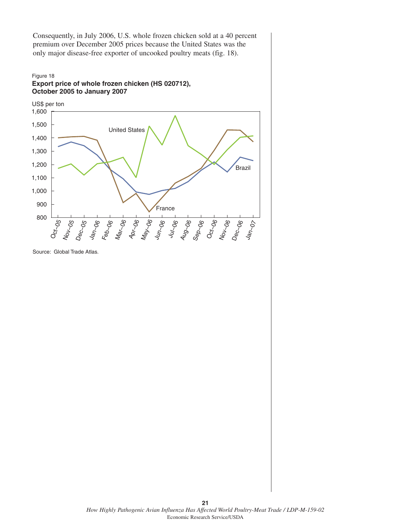Consequently, in July 2006, U.S. whole frozen chicken sold at a 40 percent premium over December 2005 prices because the United States was the only major disease-free exporter of uncooked poultry meats (fig. 18).

### Figure 18 **Export price of whole frozen chicken (HS 020712), October 2005 to January 2007**



Source: Global Trade Atlas.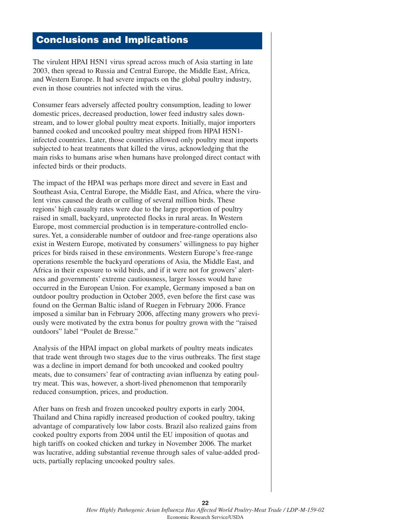# **Conclusions and Implications**

The virulent HPAI H5N1 virus spread across much of Asia starting in late 2003, then spread to Russia and Central Europe, the Middle East, Africa, and Western Europe. It had severe impacts on the global poultry industry, even in those countries not infected with the virus.

Consumer fears adversely affected poultry consumption, leading to lower domestic prices, decreased production, lower feed industry sales downstream, and to lower global poultry meat exports. Initially, major importers banned cooked and uncooked poultry meat shipped from HPAI H5N1 infected countries. Later, those countries allowed only poultry meat imports subjected to heat treatments that killed the virus, acknowledging that the main risks to humans arise when humans have prolonged direct contact with infected birds or their products.

The impact of the HPAI was perhaps more direct and severe in East and Southeast Asia, Central Europe, the Middle East, and Africa, where the virulent virus caused the death or culling of several million birds. These regions' high casualty rates were due to the large proportion of poultry raised in small, backyard, unprotected flocks in rural areas. In Western Europe, most commercial production is in temperature-controlled enclosures. Yet, a considerable number of outdoor and free-range operations also exist in Western Europe, motivated by consumers' willingness to pay higher prices for birds raised in these environments. Western Europe's free-range operations resemble the backyard operations of Asia, the Middle East, and Africa in their exposure to wild birds, and if it were not for growers' alertness and governments' extreme cautiousness, larger losses would have occurred in the European Union. For example, Germany imposed a ban on outdoor poultry production in October 2005, even before the first case was found on the German Baltic island of Ruegen in February 2006. France imposed a similar ban in February 2006, affecting many growers who previously were motivated by the extra bonus for poultry grown with the "raised outdoors" label "Poulet de Bresse."

Analysis of the HPAI impact on global markets of poultry meats indicates that trade went through two stages due to the virus outbreaks. The first stage was a decline in import demand for both uncooked and cooked poultry meats, due to consumers' fear of contracting avian influenza by eating poultry meat. This was, however, a short-lived phenomenon that temporarily reduced consumption, prices, and production.

After bans on fresh and frozen uncooked poultry exports in early 2004, Thailand and China rapidly increased production of cooked poultry, taking advantage of comparatively low labor costs. Brazil also realized gains from cooked poultry exports from 2004 until the EU imposition of quotas and high tariffs on cooked chicken and turkey in November 2006. The market was lucrative, adding substantial revenue through sales of value-added products, partially replacing uncooked poultry sales.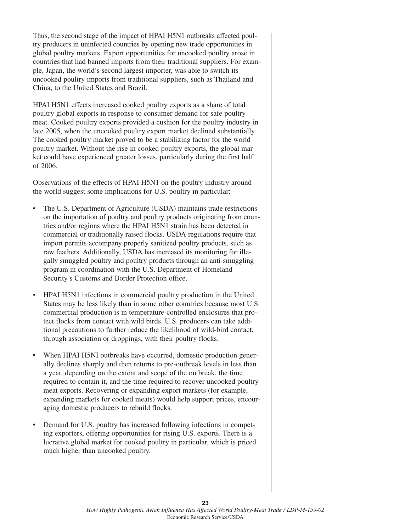Thus, the second stage of the impact of HPAI H5N1 outbreaks affected poultry producers in uninfected countries by opening new trade opportunities in global poultry markets. Export opportunities for uncooked poultry arose in countries that had banned imports from their traditional suppliers. For example, Japan, the world's second largest importer, was able to switch its uncooked poultry imports from traditional suppliers, such as Thailand and China, to the United States and Brazil.

HPAI H5N1 effects increased cooked poultry exports as a share of total poultry global exports in response to consumer demand for safe poultry meat. Cooked poultry exports provided a cushion for the poultry industry in late 2005, when the uncooked poultry export market declined substantially. The cooked poultry market proved to be a stabilizing factor for the world poultry market. Without the rise in cooked poultry exports, the global market could have experienced greater losses, particularly during the first half of 2006.

Observations of the effects of HPAI H5N1 on the poultry industry around the world suggest some implications for U.S. poultry in particular:

- The U.S. Department of Agriculture (USDA) maintains trade restrictions on the importation of poultry and poultry products originating from countries and/or regions where the HPAI H5N1 strain has been detected in commercial or traditionally raised flocks. USDA regulations require that import permits accompany properly sanitized poultry products, such as raw feathers. Additionally, USDA has increased its monitoring for illegally smuggled poultry and poultry products through an anti-smuggling program in coordination with the U.S. Department of Homeland Security's Customs and Border Protection office.
- HPAI H5N1 infections in commercial poultry production in the United States may be less likely than in some other countries because most U.S. commercial production is in temperature-controlled enclosures that protect flocks from contact with wild birds. U.S. producers can take additional precautions to further reduce the likelihood of wild-bird contact, through association or droppings, with their poultry flocks.
- When HPAI H5NI outbreaks have occurred, domestic production generally declines sharply and then returns to pre-outbreak levels in less than a year, depending on the extent and scope of the outbreak, the time required to contain it, and the time required to recover uncooked poultry meat exports. Recovering or expanding export markets (for example, expanding markets for cooked meats) would help support prices, encouraging domestic producers to rebuild flocks.
- Demand for U.S. poultry has increased following infections in competing exporters, offering opportunities for rising U.S. exports. There is a lucrative global market for cooked poultry in particular, which is priced much higher than uncooked poultry.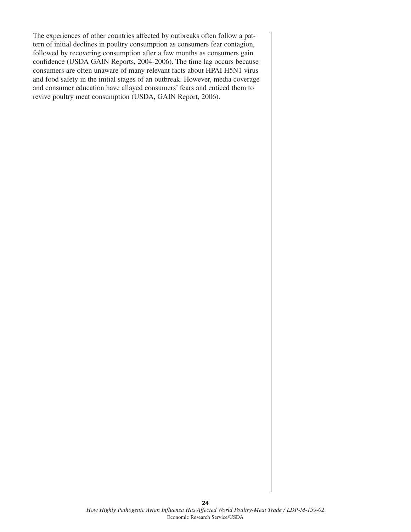The experiences of other countries affected by outbreaks often follow a pattern of initial declines in poultry consumption as consumers fear contagion, followed by recovering consumption after a few months as consumers gain confidence (USDA GAIN Reports, 2004-2006). The time lag occurs because consumers are often unaware of many relevant facts about HPAI H5N1 virus and food safety in the initial stages of an outbreak. However, media coverage and consumer education have allayed consumers' fears and enticed them to revive poultry meat consumption (USDA, GAIN Report, 2006).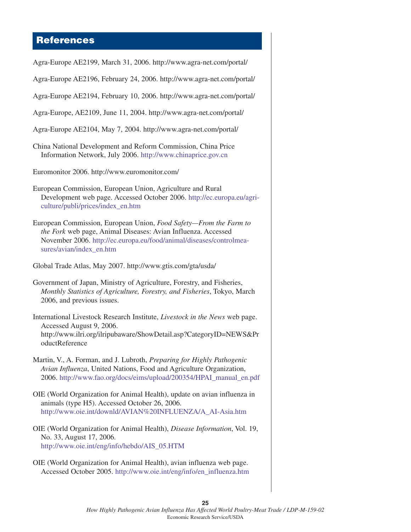# **References**

Agra-Europe AE2199, March 31, 2006. http://www.agra-net.com/portal/ Agra-Europe AE2196, February 24, 2006. http://www.agra-net.com/portal/ Agra-Europe AE2194, February 10, 2006. http://www.agra-net.com/portal/ Agra-Europe, AE2109, June 11, 2004. http://www.agra-net.com/portal/ Agra-Europe AE2104, May 7, 2004. http://www.agra-net.com/portal/ China National Development and Reform Commission, China Price Information Network, July 2006. <http://www.chinaprice.gov.cn> Euromonitor 2006. http://www.euromonitor.com/ European Commission, European Union, Agriculture and Rural Development web page. Accessed October 2006. [http://ec.europa.eu/agri](http://ec.europa.eu/agriculture/publi/prices/index_en.htm)[culture/publi/prices/index\\_en.htm](http://ec.europa.eu/agriculture/publi/prices/index_en.htm) European Commission, European Union, *Food Safety—From the Farm to the Fork* web page, Animal Diseases: Avian Influenza. Accessed November 2006. [http://ec.europa.eu/food/animal/diseases/controlmea](http://ec.europa.eu/food/animal/diseases/controlmeasures/avian/index_en.htm)[sures/avian/index\\_en.htm](http://ec.europa.eu/food/animal/diseases/controlmeasures/avian/index_en.htm) Global Trade Atlas, May 2007. http://www.gtis.com/gta/usda/ Government of Japan, Ministry of Agriculture, Forestry, and Fisheries, *Monthly Statistics of Agriculture, Forestry, and Fisheries*, Tokyo, March 2006, and previous issues. International Livestock Research Institute, *Livestock in the News* web page. Accessed August 9, 2006. http://www.ilri.org/ilripubaware/ShowDetail.asp?CategoryID=NEWS&Pr oductReference Martin, V., A. Forman, and J. Lubroth, *Preparing for Highly Pathogenic Avian Influenza*, United Nations, Food and Agriculture Organization, 2006. [http://www.fao.org/docs/eims/upload/200354/HPAI\\_manual\\_en.pdf](http://www.fao.org/docs/eims/upload/200354/HPAI_manual_en.pdf) OIE (World Organization for Animal Health), update on avian influenza in animals (type H5). Accessed October 26, 2006. [http://www.oie.int/downld/AVIAN%20INFLUENZA/A\\_AI-Asia.htm](http://www.oie.int/downld/AVIAN%20INFLUENZA/A_AI-Asia.htm) OIE (World Organization for Animal Health), *Disease Information*, Vol. 19, No. 33, August 17, 2006. [http://www.oie.int/eng/info/hebdo/AIS\\_05.HTM](http://www.oie.int/eng/info/hebdo/AIS_05.HTM) OIE (World Organization for Animal Health), avian influenza web page. Accessed October 2005. [http://www.oie.int/eng/info/en\\_influenza.htm](http://www.oie.int/eng/info/en_influenza.htm)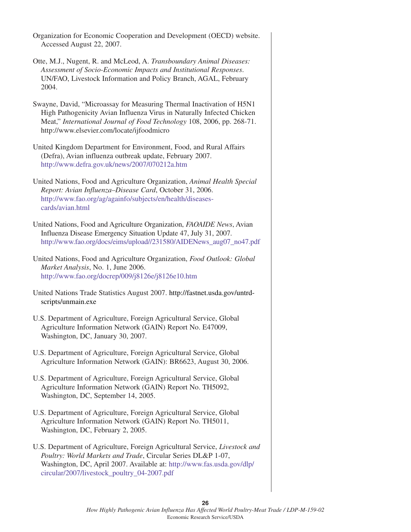| Organization for Economic Cooperation and Development (OECD) website.<br>Accessed August 22, 2007.                                                                                                                                                                      |
|-------------------------------------------------------------------------------------------------------------------------------------------------------------------------------------------------------------------------------------------------------------------------|
| Otte, M.J., Nugent, R. and McLeod, A. Transboundary Animal Diseases:<br>Assessment of Socio-Economic Impacts and Institutional Responses.<br>UN/FAO, Livestock Information and Policy Branch, AGAL, February<br>2004.                                                   |
| Swayne, David, "Microassay for Measuring Thermal Inactivation of H5N1<br>High Pathogenicity Avian Influenza Virus in Naturally Infected Chicken<br>Meat," International Journal of Food Technology 108, 2006, pp. 268-71.<br>http://www.elsevier.com/locate/ijfoodmicro |
| United Kingdom Department for Environment, Food, and Rural Affairs<br>(Defra), Avian influenza outbreak update, February 2007.<br>http://www.defra.gov.uk/news/2007/070212a.htm                                                                                         |
| United Nations, Food and Agriculture Organization, Animal Health Special<br>Report: Avian Influenza-Disease Card, October 31, 2006.<br>http://www.fao.org/ag/againfo/subjects/en/health/diseases-<br>cards/avian.html                                                   |
| United Nations, Food and Agriculture Organization, FAOAIDE News, Avian<br>Influenza Disease Emergency Situation Update 47, July 31, 2007.<br>http://www.fao.org/docs/eims/upload//231580/AIDENews_aug07_no47.pdf                                                        |
| United Nations, Food and Agriculture Organization, Food Outlook: Global<br>Market Analysis, No. 1, June 2006.<br>http://www.fao.org/docrep/009/j8126e/j8126e10.htm                                                                                                      |
| United Nations Trade Statistics August 2007. http://fastnet.usda.gov/untrd-<br>scripts/unmain.exe                                                                                                                                                                       |
| U.S. Department of Agriculture, Foreign Agricultural Service, Global<br>Agriculture Information Network (GAIN) Report No. E47009,<br>Washington, DC, January 30, 2007.                                                                                                  |
| U.S. Department of Agriculture, Foreign Agricultural Service, Global<br>Agriculture Information Network (GAIN): BR6623, August 30, 2006.                                                                                                                                |
| U.S. Department of Agriculture, Foreign Agricultural Service, Global<br>Agriculture Information Network (GAIN) Report No. TH5092,<br>Washington, DC, September 14, 2005.                                                                                                |
| U.S. Department of Agriculture, Foreign Agricultural Service, Global<br>Agriculture Information Network (GAIN) Report No. TH5011,<br>Washington, DC, February 2, 2005.                                                                                                  |
| U.S. Department of Agriculture, Foreign Agricultural Service, Livestock and<br>Poultry: World Markets and Trade, Circular Series DL&P 1-07,<br>Washington, DC, April 2007. Available at: http://www.fas.usda.gov/dlp/<br>circular/2007/livestock_poultry_04-2007.pdf    |